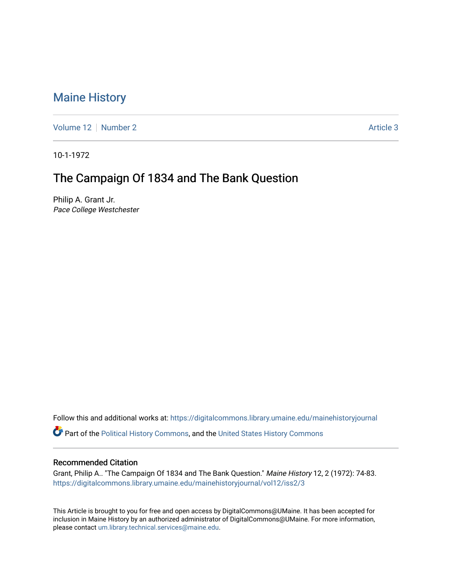## [Maine History](https://digitalcommons.library.umaine.edu/mainehistoryjournal)

[Volume 12](https://digitalcommons.library.umaine.edu/mainehistoryjournal/vol12) [Number 2](https://digitalcommons.library.umaine.edu/mainehistoryjournal/vol12/iss2) [Article 3](https://digitalcommons.library.umaine.edu/mainehistoryjournal/vol12/iss2/3) Article 3

10-1-1972

## The Campaign Of 1834 and The Bank Question

Philip A. Grant Jr. Pace College Westchester

Follow this and additional works at: [https://digitalcommons.library.umaine.edu/mainehistoryjournal](https://digitalcommons.library.umaine.edu/mainehistoryjournal?utm_source=digitalcommons.library.umaine.edu%2Fmainehistoryjournal%2Fvol12%2Fiss2%2F3&utm_medium=PDF&utm_campaign=PDFCoverPages) 

Part of the [Political History Commons,](http://network.bepress.com/hgg/discipline/505?utm_source=digitalcommons.library.umaine.edu%2Fmainehistoryjournal%2Fvol12%2Fiss2%2F3&utm_medium=PDF&utm_campaign=PDFCoverPages) and the [United States History Commons](http://network.bepress.com/hgg/discipline/495?utm_source=digitalcommons.library.umaine.edu%2Fmainehistoryjournal%2Fvol12%2Fiss2%2F3&utm_medium=PDF&utm_campaign=PDFCoverPages)

## Recommended Citation

Grant, Philip A.. "The Campaign Of 1834 and The Bank Question." Maine History 12, 2 (1972): 74-83. [https://digitalcommons.library.umaine.edu/mainehistoryjournal/vol12/iss2/3](https://digitalcommons.library.umaine.edu/mainehistoryjournal/vol12/iss2/3?utm_source=digitalcommons.library.umaine.edu%2Fmainehistoryjournal%2Fvol12%2Fiss2%2F3&utm_medium=PDF&utm_campaign=PDFCoverPages)

This Article is brought to you for free and open access by DigitalCommons@UMaine. It has been accepted for inclusion in Maine History by an authorized administrator of DigitalCommons@UMaine. For more information, please contact [um.library.technical.services@maine.edu.](mailto:um.library.technical.services@maine.edu)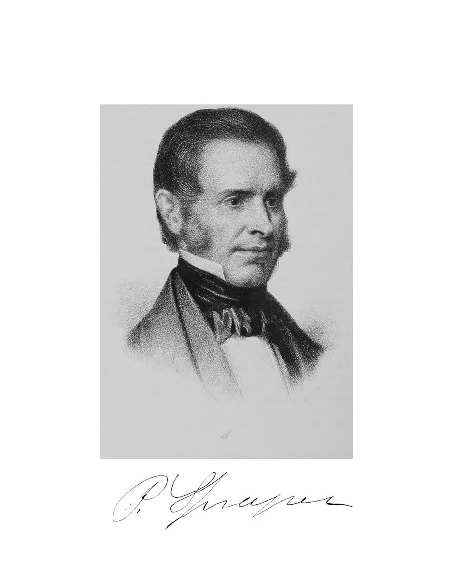

P Joseper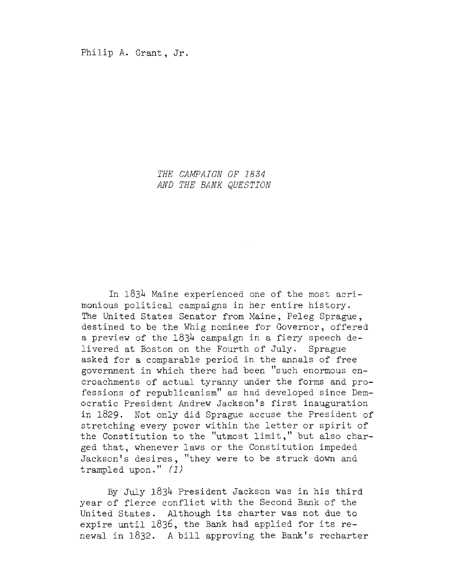Philip A. Grant, Jr.

*THE CAMPAIGN OF 1834 AND THE BANK QUESTION*

In  $1834$  Maine experienced one of the most acrimonious political campaigns in her entire history. The United States Senator from Maine, Peleg Sprague, destined to be the Whig nominee for Governor, offered a preview of the  $1834$  campaign in a fiery speech delivered at Boston on the Fourth of July. Sprague asked for <sup>a</sup> comparable period in the annals of free government in which there had been ''such enormous encroachments of actual tyranny under the forms and professions of republicanism" as had developed since Democratic President Andrew Jackson'<sup>s</sup> first inauguration in 1829. Not only did Sprague accuse the President of stretching every power within the letter or spirit of the Constitution to the ''utmost limit," but also charged that, whenever laws or the Constitution impeded Jackson'<sup>s</sup> desires, "they were to be struck down and trampled upon." *(1)*

By July I83H President Jackson was in his third year of fierce conflict with the Second Bank of the United States. Although its charter was not due to expire until 1836, the Bank had applied for its renewal in 1832. A bill approving the Bank's recharter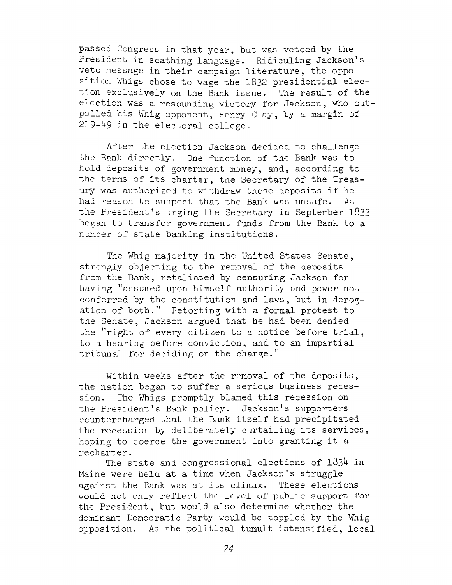passed Congress in that year, but was vetoed by the President in scathing language. Ridiculing Jackson'<sup>s</sup> veto message in their campaign literature, the opposition Whigs chose to wage the 1832 presidential election exclusively on the Bank issue. The result of the election was a resounding victory for Jackson, who outpolled his Whig opponent, Henry Clay, by a margin of 219-49 in the electoral college.

After the election Jackson decided to challenge the Bank directly. One function of the Bank was to hold deposits of government money, and, according to the terms of its charter, the Secretary of the Treasury was authorized to withdraw these deposits if he had reason to suspect that the Bank was unsafe. At the President'<sup>s</sup> urging the Secretary in September <sup>1833</sup> began to transfer government funds from the Bank to a number of state banking institutions.

The Whig majority in the United States Senate, strongly objecting to the removal of the deposits from the Bank, retaliated by censuring Jackson for having ''assumed upon himself authority and power not conferred by the constitution and laws, but in derogation of both." Retorting with <sup>a</sup> formal protest to the Senate, Jackson argued that he had been denied the ''right of every citizen to <sup>a</sup> notice before trial, to <sup>a</sup> hearing before conviction, and to an impartial tribunal for deciding on the charge."

Within weeks after the removal of the deposits, the nation began to suffer a serious business recession. The Whigs promptly blamed this recession on the President'<sup>s</sup> Bank policy. Jackson'<sup>s</sup> supporters countercharged that the Bank itself had precipitated the recession by deliberately curtailing its services, hoping to coerce the government into granting it <sup>a</sup> recharter.

The state and congressional elections of  $1834$  in Maine were held at <sup>a</sup> time when Jackson'<sup>s</sup> struggle against the Bank was at its climax. These elections would not only reflect the level of public support for the President, but would also determine whether the dominant Democratic Party would be toppled by the Whig opposition. As the political tumult intensified, local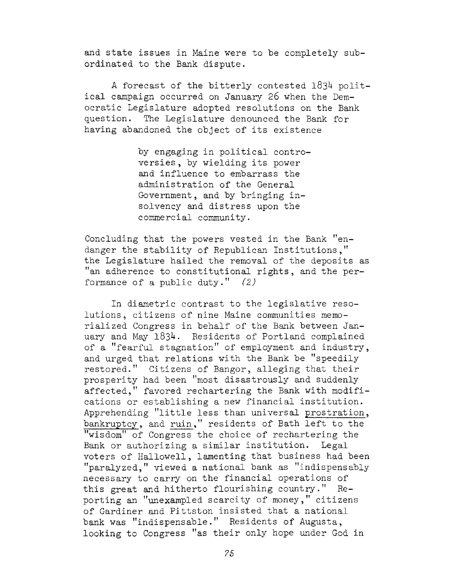and state issues in Maine were to be completely subordinated to the Bank dispute.

A forecast of the bitterly contested  $1834$  political campaign occurred on January <sup>26</sup> when the Democratic Legislature adopted resolutions on the Bank question. The Legislature denounced the Bank for having abandoned the object of its existence

> by engaging in political controversies, by wielding its power and influence to embarrass the administration of the General Government, and by bringing insolvency and distress upon the commercial community.

Concluding that the powers vested in the Bank "endanger the stability of Republican Institutions," the Legislature hailed the removal of the deposits as "an adherence to constitutional rights, and the performance of a public duty." *(2)*

In diametric contrast to the legislative resolutions, citizens of nine Maine communities memorialized Congress in behalf of the Bank between January and May  $1834$ . Residents of Portland complained of <sup>a</sup> "fearful stagnation" of employment and industry, and urged that relations with the Bank be "speedily restored." Citizens of Bangor, alleging that their prosperity had been "most disastrously and suddenly affected," favored rechartering the Bank with modifications or establishing a new financial institution. Apprehending "little less than universal prostration, bankruptcy, and ruin," residents of Bath left to the "wisdom" of Congress the choice of rechartering the Bank or authorizing a similar institution. Legal voters of Hallowell, lamenting that business had been "paralyzed," viewed a national bank as "indispensably necessary to carry on the financial operations of this great and hitherto flourishing country." Reporting an "unexampled scarcity of money," citizens of Gardiner and Pittston insisted that <sup>a</sup> national bank was "indispensable." Residents of Augusta, looking to Congress "as their only hope under God in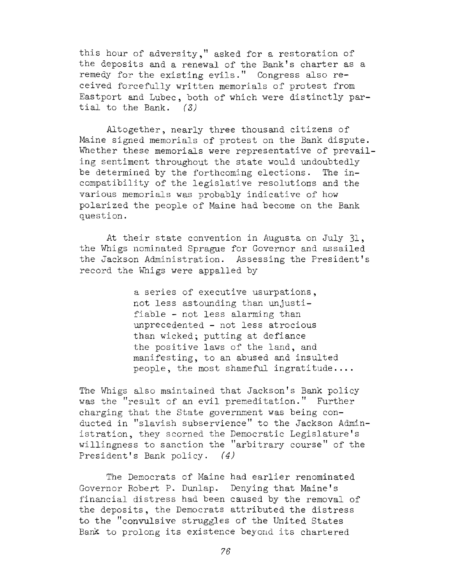this hour of adversity," asked for a restoration of the deposits and <sup>a</sup> renewal of the Bank'<sup>s</sup> charter as <sup>a</sup> remedy for the existing evils." Congress also received forcefully written memorials of protest from Eastport and Lubec, both of which were distinctly partial to the Bank. *(3)*

Altogether, nearly three thousand citizens of Maine signed memorials of protest on the Bank dispute. Whether these memorials were representative of prevailing sentiment throughout the state would undoubtedly be determined by the forthcoming elections. The incompatibility of the legislative resolutions and the various memorials was probably indicative of how polarized the people of Maine had become on the Bank question.

At their state convention in Augusta on July 31, the Whigs nominated Sprague for Governor and assailed the Jackson Administration. Assessing the President'<sup>s</sup> record the Whigs were appalled by

> <sup>a</sup> series of executive usurpations, not less astounding than unjustifiable - not less alarming than unprecedented - not less atrocious than wicked; putting at defiance the positive laws of the land, and manifesting, to an abused and insulted people, the most shameful ingratitude....

The Whigs also maintained that Jackson'<sup>s</sup> Bank policy was the "result of an evil premeditation." Further charging that the State government was being conducted in "slavish subservience" to the Jackson Administration, they scorned the Democratic Legislature'<sup>s</sup> willingness to sanction the "arbitrary course" of the President'<sup>s</sup> Bank policy. *(4)*

The Democrats of Maine had earlier renominated Governor Robert P. Dunlap. Denying that Maine'<sup>s</sup> financial distress had been caused by the removal of the deposits, the Democrats attributed the distress to the "convulsive struggles of the United States Bank to prolong its existence beyond its chartered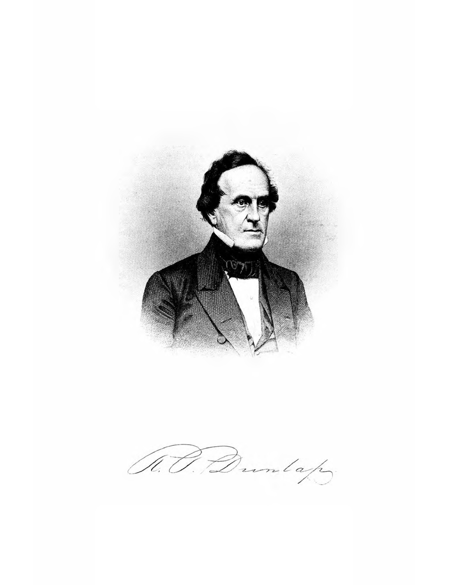

A. O. Dumlap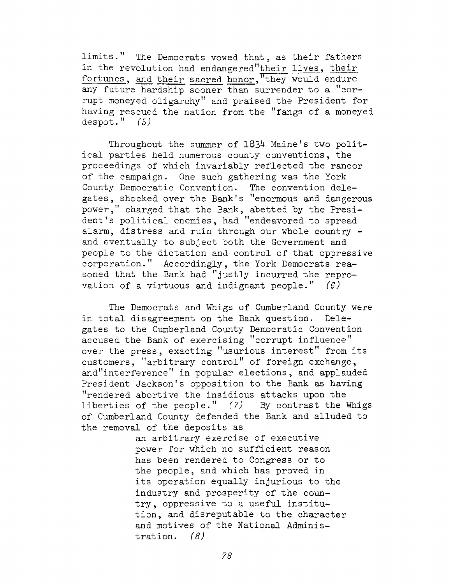limits." The Democrats vowed that, as their fathers in the revolution had endangered"their lives, their fortunes, and their sacred honor,"they would endure any future hardship sooner than surrender to a "corrupt moneyed oligarchy" and praised the President for having rescued the nation from the "fangs of a moneyed despot. " *(5)*

Throughout the summer of  $1834$  Maine's two political parties held numerous county conventions, the proceedings of which invariably reflected the rancor of the campaign. One such gathering was the York County Democratic Convention. The convention delegates, shocked over the Bank'<sup>s</sup> "enormous and dangerous power," charged that the Bank, abetted by the President'<sup>s</sup> political enemies, had "endeavored to spread alarm, distress and ruin through our whole country and eventually to subject both the Government and people to the dictation and control of that oppressive corporation." Accordingly, the York Democrats reasoned that the Bank had "justly incurred the reprovation of <sup>a</sup> virtuous and indignant people." *(6)*

The Democrats and Whigs of Cumberland County were in total disagreement on the Bank question. Delegates to the Cumberland County Democratic Convention accused the Bank of exercising "corrupt influence" over the press, exacting "usurious interest" from its customers, "arbitrary control" of foreign exchange, and"interference" in popular elections, and applauded President Jackson'<sup>s</sup> opposition to the Bank as having ''rendered abortive the insidious attacks upon the liberties of the people." *(7)* By contrast the Whigs of Cumberland County defended the Bank and alluded to the removal of the deposits as

> an arbitrary exercise of executive power for which no sufficient reason has been rendered to Congress or to the people, and which has proved in its operation equally injurious to the industry and prosperity of the country, oppressive to <sup>a</sup> useful institution, and disreputable to the character and motives of the National Administration. *(8)*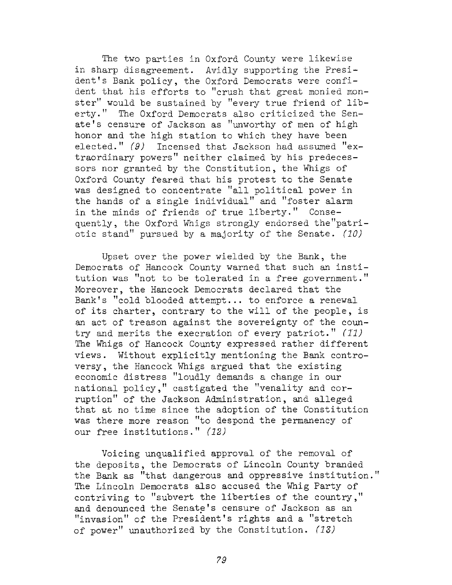The two parties in Oxford County were likewise in sharp disagreement. Avidly supporting the President'<sup>s</sup> Bank policy, the Oxford Democrats were confident that his efforts to ''crush that great monied monster" would be sustained by "every true friend of liberty." The Oxford Democrats also criticized the Senate'<sup>s</sup> censure of Jackson as "unworthy of men of high honor and the high station to which they have been elected." *(9)* Incensed that Jackson had assumed "extraordinary powers" neither claimed by his predecessors nor granted by the Constitution, the Whigs of Oxford County feared that his protest to the Senate was designed to concentrate "all political power in the hands of <sup>a</sup> single individual" and "foster alarm in the minds of friends of true liberty." Consequently, the Oxford Whigs strongly endorsed the"patriotic stand" pursued by a majority of the Senate. *(10)*

Upset over the power wielded by the Bank, the Democrats of Hancock County warned that such an institution was "not to be tolerated in a free government." Moreover, the Hancock Democrats declared that the Bank'<sup>s</sup> "cold blooded attempt... to enforce <sup>a</sup> renewal of its charter, contrary to the will of the people, is an act of treason against the sovereignty of the country and merits the execration of every patriot." *(1'1)* The Whigs of Hancock County expressed rather different views. Without explicitly mentioning the Bank controversy, the Hancock Whigs argued that the existing economic distress "loudly demands a change in our national policy," castigated the "venality and corruption" of the Jackson Administration, and alleged that at no time since the adoption of the Constitution was there more reason "to despond the permanency of our free institutions." *(12)*

Voicing unqualified approval of the removal of the deposits, the Democrats of Lincoln County branded the Bank as "that dangerous and oppressive institution." The Lincoln Democrats also accused the Whig Party of contriving to "subvert the liberties of the country," and denounced the Senate'<sup>s</sup> censure of Jackson as an "invasion" of the President'<sup>s</sup> rights and <sup>a</sup> "stretch of power" unauthorized by the Constitution. *(13)*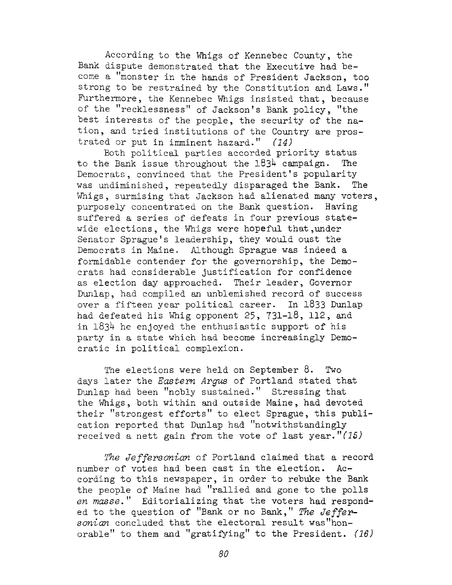According to the Whigs of Kennebec County, the Bank dispute demonstrated that the Executive had become <sup>a</sup> "monster in the hands of President Jackson, too strong to be restrained by the Constitution and Laws." Furthermore, the Kennebec Whigs insisted that, because of the "recklessness" of Jackson'<sup>s</sup> Bank policy, "the best interests of the people, the security of the nation, and tried institutions of the Country are prostrated or put in imminent hazard." *(14)*

Both political parties accorded priority status to the Bank issue throughout the  $1834$  campaign. The Democrats, convinced that the President'<sup>s</sup> popularity was undiminished, repeatedly disparaged the Bank. The Whigs, surmising that Jackson had alienated many voters, purposely concentrated on the Bank question. Having suffered a series of defeats in four previous statewide elections, the Whigs were hopeful that,under Senator Sprague'<sup>s</sup> leadership, they would oust the Democrats in Maine. Although Sprague was indeed a formidable contender for the governorship, the Democrats had considerable justification for confidence as election day approached. Their leader, Governor Dunlap, had compiled an unblemished record of success over <sup>a</sup> fifteen year political career. In <sup>1833</sup> Dunlap had defeated his Whig opponent 25, 731-18, 112, and in  $183^{\mu}$  he enjoyed the enthusiastic support of his party in a state which had become increasingly Democratic in political complexion.

The elections were held on September  $8.$  Two days later the *Eastern Argus* of Portland stated that Dunlap had been "nobly sustained." Stressing that the Whigs, both within and outside Maine, had devoted their "strongest efforts" to elect Sprague, this publication reported that Dunlap had "notwithstandingly received a nett gain from the vote of last year."*(15)* 

*The Jeffersonian* of Portland claimed that <sup>a</sup> record number of votes had been cast in the election. According to this newspaper, in order to rebuke the Bank the people of Maine had "rallied and gone to the polls *en masse."* Editorializing that the voters had responded to the question of "Bank or no Bank," *The Jeffersonian* concluded that the electoral result was"honorable" to them and "gratifying" to the President. *(16)*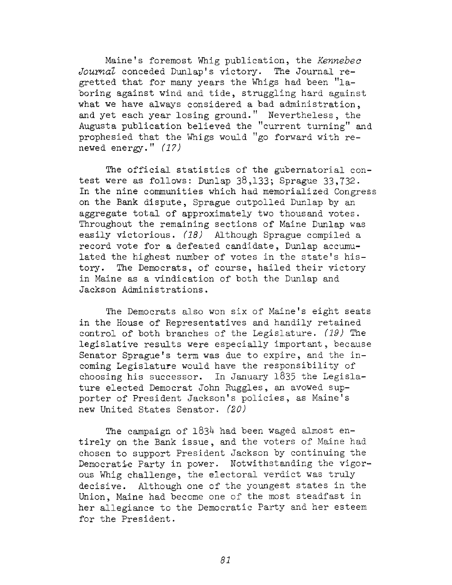Maine'<sup>s</sup> foremost Whig publication, the *Kennebec Journal* conceded Dunlap'<sup>s</sup> victory. The Journal regretted that for many years the Whigs had been "laboring against wind and tide, struggling hard against what we have always considered a bad administration, and yet each year losing ground." Nevertheless, the Augusta publication believed the "current turning" and prophesied that the Whigs would "go forward with renewed energy." *(17)*

The official statistics of the gubernatorial contest were as follows: Dunlap 38,133; Sprague 33,732. In the nine communities which had memorialized Congress on the Bank dispute, Sprague outpolled Dunlap by an aggregate total of approximately two thousand votes. Throughout the remaining sections of Maine Dunlap was easily victorious. *(18)* Although Sprague compiled a record vote for a defeated candidate, Dunlap accumulated the highest number of votes in the state'<sup>s</sup> history. The Democrats, of course, hailed their victory in Maine as <sup>a</sup> vindication of both the Dunlap and Jackson Administrations.

The Democrats also won six of Maine'<sup>s</sup> eight seats in the House of Representatives and handily retained control of both branches of the Legislature. *(19)* The legislative results were especially important, because Senator Sprague'<sup>s</sup> term was due to expire, and the incoming Legislature would have the responsibility of choosing his successor. In January 1835 the Legislature elected Democrat John Ruggles, an avowed supporter of President Jackson'<sup>s</sup> policies, as Maine'<sup>s</sup> new United States Senator. *(20)*

The campaign of  $1834$  had been waged almost entirely on the Bank issue, and the voters of Maine had chosen to support President Jackson by continuing the Democratic Party in power. Notwithstanding the vigorous Whig challenge, the electoral verdict was truly decisive. Although one of the youngest states in the Union, Maine had become one of the most steadfast in her allegiance to the Democratic Party and her esteem for the President.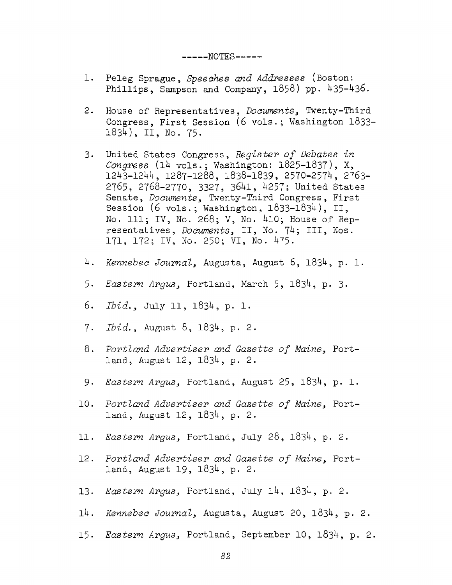-----NOTES-----

- 1. Peleg Sprague, *Speeches and Addresses* (Boston: Phillips, Sampson and Company, 1858) pp. 435-436.
- 2. House of Representatives, *Documents <sup>&</sup>gt;* Twenty-Third Congress, First Session (6 vols.; Washington 1833- 1834), II, No. 75.
- 3. United States Congress, *Register of Debates in Congress* (14 vols.; Washington: 1825-1837), X, 1243-1244, 1287-1288, 1838-1839, 2570-2574, 2763- 2765, 2768-2770, 3327, 3641, 4257; United States Senate, *Documents*, Twenty-Third Congress, First Session (6 vols.; Washington, 1833-1834), II, No. Ill; IV, No. 268; V, No. 410; House of Representatives, *Documents,* II, No. 74; III, Nos. 171, 172; IV, No. 250; VI, No. 475-
- 4. *Kennebec Journal*, Augusta, August 6, 1834, p. 1.
- 5. *Eastern Argus,* Portland, March 5, 1834, p. 3\*
- 6. *Ibid. <sup>&</sup>gt;* July 11, 1834, p. 1.
- 7. *Ibid,* , August 8, 1834, p. 2.
- 8. *Portland Advertiser and Gazette of Maine,* Portland, August 12, 1834, p. 2.
- 9. *Eastern Argus,* Portland, August 25, 1834, p. 1.
- 10. *Portland Advertiser and Gazette of Maine,* Portland, August 12, 1834, p. 2.
- 11. *Eastern Argus,* Portland, July 28, 1834, p. 2.
- 12. *Portland Advertiser and Gazette of Maine<sup>3</sup>* Portland, August 19, 1834, p. 2.
- 13- *Eastern Argus*, Portland, July 14, 1834, p. 2.
- 14. *Kennebec Journal,* Augusta, August 20, 1834, p. 2.
- 15- *Eastern Argus,* Portland, September 10, 1834, p. 2.